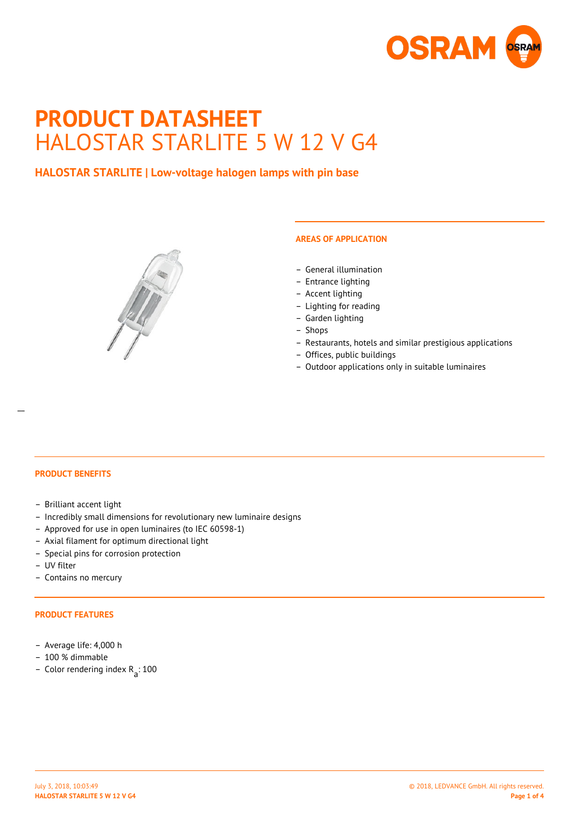

# **PRODUCT DATASHEET** HALOSTAR STARLITE 5 W 12 V G4

# **HALOSTAR STARLITE | Low-voltage halogen lamps with pin base**



#### **AREAS OF APPLICATION**

- General illumination
- Entrance lighting
- Accent lighting
- Lighting for reading
- Garden lighting
- Shops
- Restaurants, hotels and similar prestigious applications
- Offices, public buildings
- Outdoor applications only in suitable luminaires

 $\overline{a}$ 

- **PRODUCT BENEFITS**
- Brilliant accent light
- Incredibly small dimensions for revolutionary new luminaire designs
- Approved for use in open luminaires (to IEC 60598-1)
- Axial filament for optimum directional light
- Special pins for corrosion protection
- UV filter
- Contains no mercury

#### **PRODUCT FEATURES**

- Average life: 4,000 h
- 100 % dimmable
- Color rendering index R<sub>a</sub>: 100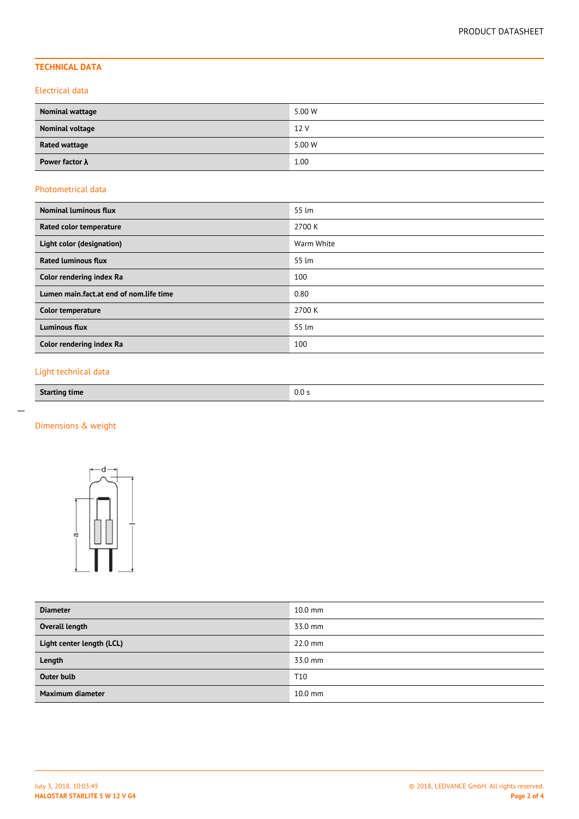# **TECHNICAL DATA**

#### Electrical data

| Nominal wattage        | 5.00 W |
|------------------------|--------|
| <b>Nominal voltage</b> | 12 V   |
| <b>Rated wattage</b>   | 5.00 W |
| Power factor $\lambda$ | 1.00   |

### Photometrical data

| <b>Nominal luminous flux</b>            | 55 lm      |
|-----------------------------------------|------------|
| Rated color temperature                 | 2700 K     |
| Light color (designation)               | Warm White |
| <b>Rated luminous flux</b>              | 55 lm      |
| Color rendering index Ra                | 100        |
| Lumen main.fact.at end of nom.life time | 0.80       |
| Color temperature                       | 2700 K     |
| <b>Luminous flux</b>                    | 55 lm      |
| Color rendering index Ra                | 100        |

# Light technical data

| <b>Starting time</b> | $\sim$ $\sim$<br>U.U .<br>. |
|----------------------|-----------------------------|

 $\overline{a}$ 

# Dimensions & weight



| <b>Diameter</b>           | $10.0$ mm       |
|---------------------------|-----------------|
| Overall length            | 33.0 mm         |
| Light center length (LCL) | $22.0$ mm       |
| Length                    | 33.0 mm         |
| <b>Outer bulb</b>         | T <sub>10</sub> |
| Maximum diameter          | $10.0$ mm       |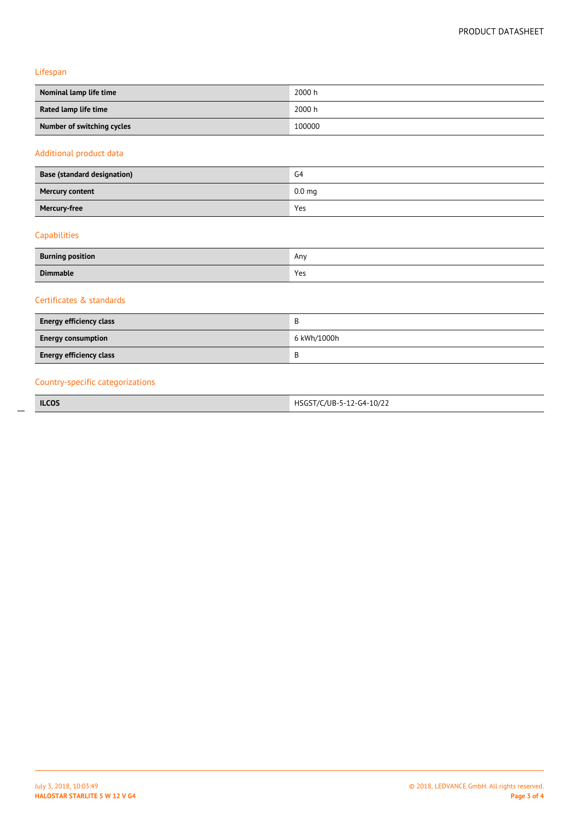Lifespan

| Nominal lamp life time     | 2000 h |
|----------------------------|--------|
| Rated lamp life time       | 2000 h |
| Number of switching cycles | 100000 |

#### Additional product data

| <b>Base (standard designation)</b> | G <sub>4</sub>    |
|------------------------------------|-------------------|
| <b>Mercury content</b>             | 0.0 <sub>mg</sub> |
| Mercury-free                       | Yes               |

# Capabilities

 $\overline{a}$ 

| <b>Burning position</b> | Any |
|-------------------------|-----|
| <b>Dimmable</b>         | Yes |

### Certificates & standards

| <b>Energy efficiency class</b> | в           |
|--------------------------------|-------------|
| <b>Energy consumption</b>      | 6 kWh/1000h |
| <b>Energy efficiency class</b> | R           |

# Country-specific categorizations

**ILCOS** HSGST/C/UB-5-12-G4-10/22